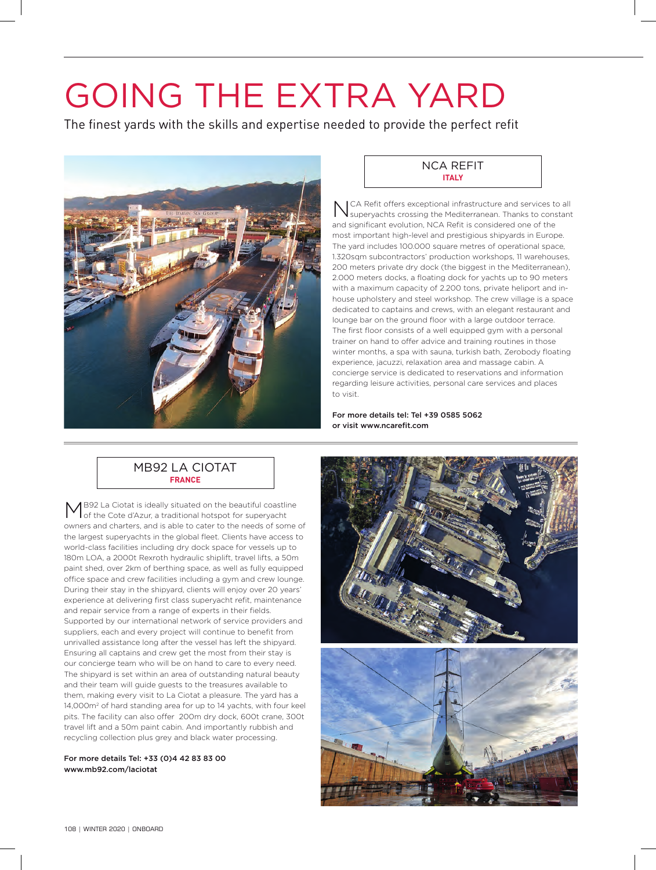# GOING THE EXTRA YARD

The finest yards with the skills and expertise needed to provide the perfect refit



## NCA REFIT **ITALY**

NCA Refit offers exceptional infrastructure and services to all superyachts crossing the Mediterranean. Thanks to constant and significant evolution, NCA Refit is considered one of the most important high-level and prestigious shipyards in Europe. The yard includes 100.000 square metres of operational space, 1.320sqm subcontractors' production workshops, 11 warehouses, 200 meters private dry dock (the biggest in the Mediterranean), 2.000 meters docks, a floating dock for yachts up to 90 meters with a maximum capacity of 2.200 tons, private heliport and inhouse upholstery and steel workshop. The crew village is a space dedicated to captains and crews, with an elegant restaurant and lounge bar on the ground floor with a large outdoor terrace. The first floor consists of a well equipped gym with a personal trainer on hand to offer advice and training routines in those winter months, a spa with sauna, turkish bath, Zerobody floating experience, jacuzzi, relaxation area and massage cabin. A concierge service is dedicated to reservations and information regarding leisure activities, personal care services and places to visit.

For more details tel: Tel +39 0585 5062 or visit www.ncarefit.com

# MB92 LA CIOTAT **FRANCE**

B92 La Ciotat is ideally situated on the beautiful coastline of the Cote d'Azur, a traditional hotspot for superyacht owners and charters, and is able to cater to the needs of some of the largest superyachts in the global fleet. Clients have access to world-class facilities including dry dock space for vessels up to 180m LOA, a 2000t Rexroth hydraulic shiplift, travel lifts, a 50m paint shed, over 2km of berthing space, as well as fully equipped office space and crew facilities including a gym and crew lounge. During their stay in the shipyard, clients will enjoy over 20 years' experience at delivering first class superyacht refit, maintenance and repair service from a range of experts in their fields. Supported by our international network of service providers and suppliers, each and every project will continue to benefit from unrivalled assistance long after the vessel has left the shipyard. Ensuring all captains and crew get the most from their stay is our concierge team who will be on hand to care to every need. The shipyard is set within an area of outstanding natural beauty and their team will guide guests to the treasures available to them, making every visit to La Ciotat a pleasure. The yard has a 14,000m2 of hard standing area for up to 14 yachts, with four keel pits. The facility can also offer 200m dry dock, 600t crane, 300t travel lift and a 50m paint cabin. And importantly rubbish and recycling collection plus grey and black water processing.

For more details Tel: +33 (0)4 42 83 83 00 www.mb92.com/laciotat

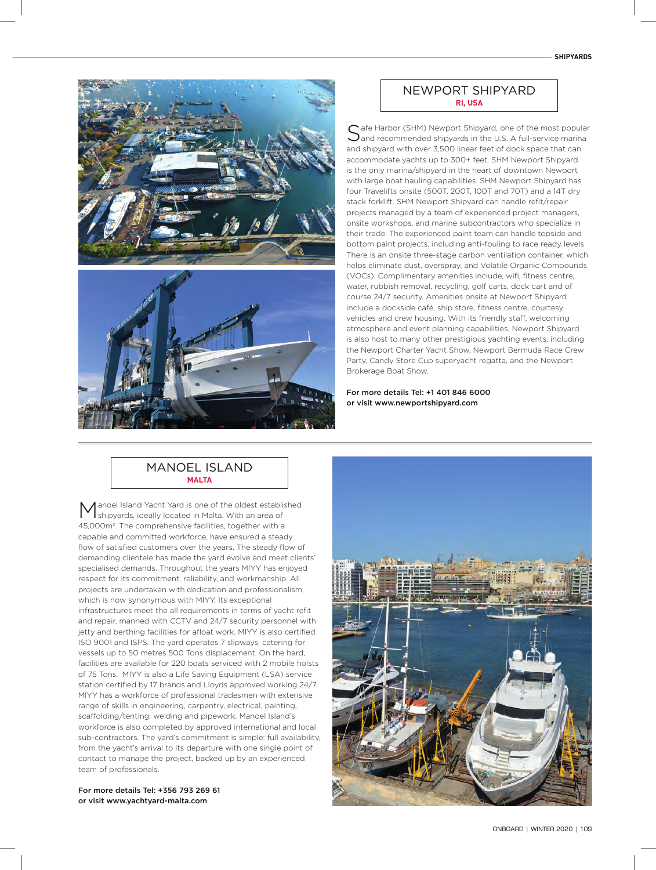



## NEWPORT SHIPYARD **RI, USA**

Safe Harbor (SHM) Newport Shipyard, one of the most popular<br>Sand recommended shipyards in the U.S. A full-service marina and shipyard with over 3,500 linear feet of dock space that can accommodate yachts up to 300+ feet. SHM Newport Shipyard is the only marina/shipyard in the heart of downtown Newport with large boat hauling capabilities. SHM Newport Shipyard has four Travelifts onsite (500T, 200T, 100T and 70T) and a 14T dry stack forklift. SHM Newport Shipyard can handle refit/repair projects managed by a team of experienced project managers, onsite workshops, and marine subcontractors who specialize in their trade. The experienced paint team can handle topside and bottom paint projects, including anti-fouling to race ready levels. There is an onsite three-stage carbon ventilation container, which helps eliminate dust, overspray, and Volatile Organic Compounds (VOCs). Complimentary amenities include, wifi, fitness centre, water, rubbish removal, recycling, golf carts, dock cart and of course 24/7 security. Amenities onsite at Newport Shipyard include a dockside café, ship store, fitness centre, courtesy vehicles and crew housing. With its friendly staff, welcoming atmosphere and event planning capabilities, Newport Shipyard is also host to many other prestigious yachting events, including the Newport Charter Yacht Show, Newport Bermuda Race Crew Party, Candy Store Cup superyacht regatta, and the Newport Brokerage Boat Show.

For more details Tel: +1 401 846 6000 or visit www.newportshipyard.com

## MANOEL ISLAND **MALTA**

anoel Island Yacht Yard is one of the oldest established shipyards, ideally located in Malta. With an area of 45,000m2. The comprehensive facilities, together with a capable and committed workforce, have ensured a steady flow of satisfied customers over the years. The steady flow of demanding clientele has made the yard evolve and meet clients' specialised demands. Throughout the years MIYY has enjoyed respect for its commitment, reliability, and workmanship. All projects are undertaken with dedication and professionalism, which is now synonymous with MIYY. Its exceptional infrastructures meet the all requirements in terms of yacht refit and repair, manned with CCTV and 24/7 security personnel with jetty and berthing facilities for afloat work. MIYY is also certified ISO 9001 and ISPS. The yard operates 7 slipways, catering for vessels up to 50 metres 500 Tons displacement. On the hard, facilities are available for 220 boats serviced with 2 mobile hoists of 75 Tons. MIYY is also a Life Saving Equipment (LSA) service station certified by 17 brands and Lloyds approved working 24/7. MIYY has a workforce of professional tradesmen with extensive range of skills in engineering, carpentry, electrical, painting, scaffolding/tenting, welding and pipework. Manoel Island's workforce is also completed by approved international and local sub-contractors. The yard's commitment is simple: full availability, from the yacht's arrival to its departure with one single point of contact to manage the project, backed up by an experienced team of professionals.

For more details Tel: +356 793 269 61 or visit www.yachtyard-malta.com

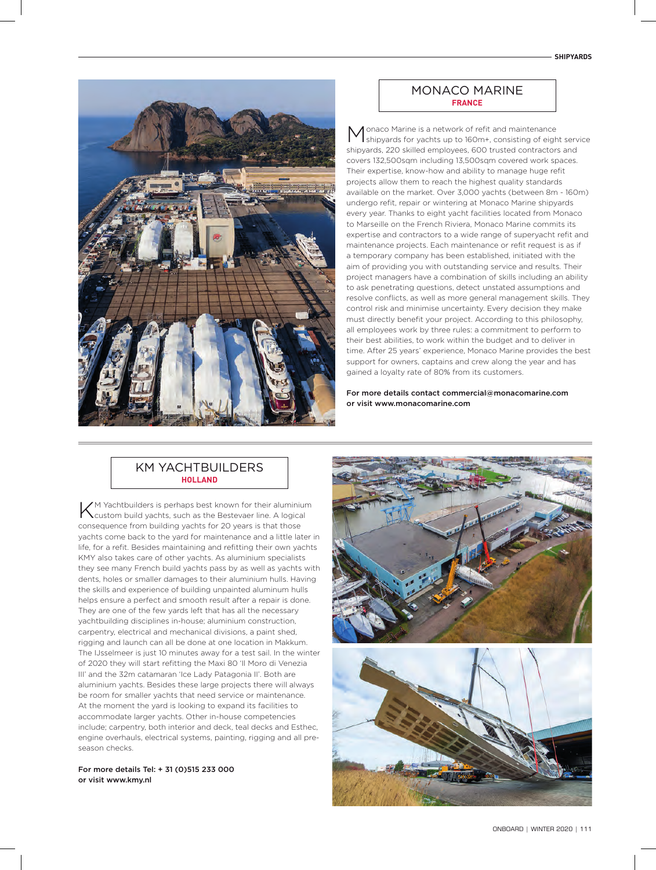

#### MONACO MARINE **FRANCE**

Monaco Marine is a network of refit and maintenance shipyards for yachts up to 160m+, consisting of eight service shipyards, 220 skilled employees, 600 trusted contractors and covers 132,500sqm including 13,500sqm covered work spaces. Their expertise, know-how and ability to manage huge refit projects allow them to reach the highest quality standards available on the market. Over 3,000 yachts (between 8m - 160m) undergo refit, repair or wintering at Monaco Marine shipyards every year. Thanks to eight yacht facilities located from Monaco to Marseille on the French Riviera, Monaco Marine commits its expertise and contractors to a wide range of superyacht refit and maintenance projects. Each maintenance or refit request is as if a temporary company has been established, initiated with the aim of providing you with outstanding service and results. Their project managers have a combination of skills including an ability to ask penetrating questions, detect unstated assumptions and resolve conflicts, as well as more general management skills. They control risk and minimise uncertainty. Every decision they make must directly benefit your project. According to this philosophy, all employees work by three rules: a commitment to perform to their best abilities, to work within the budget and to deliver in time. After 25 years' experience, Monaco Marine provides the best support for owners, captains and crew along the year and has gained a loyalty rate of 80% from its customers.

For more details contact commercial@monacomarine.com or visit www.monacomarine.com

# KM YACHTRUILDERS **HOLLAND**

 $\sqrt{}$ M Yachtbuilders is perhaps best known for their aluminium custom build yachts, such as the Bestevaer line. A logical consequence from building yachts for 20 years is that those yachts come back to the yard for maintenance and a little later in life, for a refit. Besides maintaining and refitting their own yachts KMY also takes care of other yachts. As aluminium specialists they see many French build yachts pass by as well as yachts with dents, holes or smaller damages to their aluminium hulls. Having the skills and experience of building unpainted aluminum hulls helps ensure a perfect and smooth result after a repair is done. They are one of the few yards left that has all the necessary yachtbuilding disciplines in-house; aluminium construction, carpentry, electrical and mechanical divisions, a paint shed, rigging and launch can all be done at one location in Makkum. The IJsselmeer is just 10 minutes away for a test sail. In the winter of 2020 they will start refitting the Maxi 80 'Il Moro di Venezia III' and the 32m catamaran 'Ice Lady Patagonia II'. Both are aluminium yachts. Besides these large projects there will always be room for smaller yachts that need service or maintenance. At the moment the yard is looking to expand its facilities to accommodate larger yachts. Other in-house competencies include; carpentry, both interior and deck, teal decks and Esthec, engine overhauls, electrical systems, painting, rigging and all preseason checks.

For more details Tel: + 31 (0)515 233 000 or visit www.kmy.nl